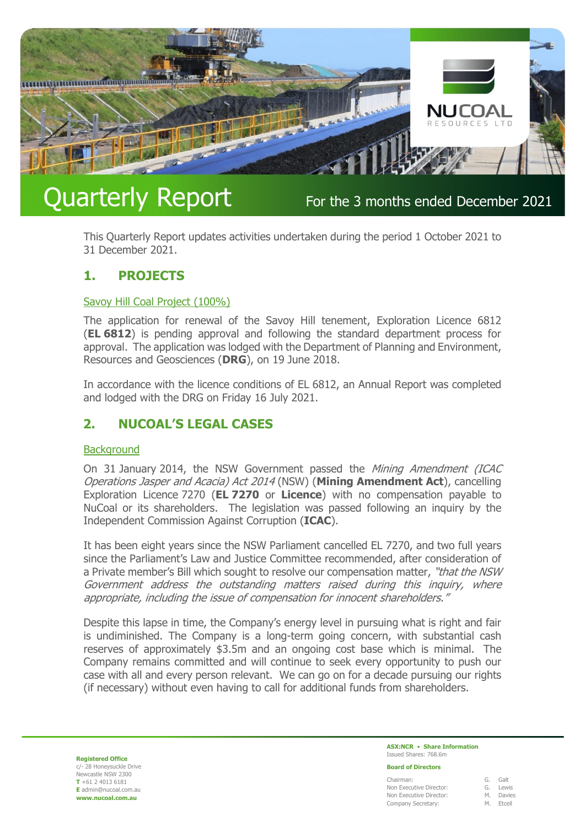

# Quarterly Report For the 3 months ended December 2021

This Quarterly Report updates activities undertaken during the period 1 October 2021 to 31 December 2021.

# **1. PROJECTS**

### Savoy Hill Coal Project (100%)

The application for renewal of the Savoy Hill tenement, Exploration Licence 6812 (**EL 6812**) is pending approval and following the standard department process for approval. The application was lodged with the Department of Planning and Environment, Resources and Geosciences (**DRG**), on 19 June 2018.

In accordance with the licence conditions of EL 6812, an Annual Report was completed and lodged with the DRG on Friday 16 July 2021.

# **2. NUCOAL'S LEGAL CASES**

#### **Background**

On 31 January 2014, the NSW Government passed the Mining Amendment (ICAC Operations Jasper and Acacia) Act 2014 (NSW) (**Mining Amendment Act**), cancelling Exploration Licence 7270 (**EL 7270** or **Licence**) with no compensation payable to NuCoal or its shareholders. The legislation was passed following an inquiry by the Independent Commission Against Corruption (**ICAC**).

It has been eight years since the NSW Parliament cancelled EL 7270, and two full years since the Parliament's Law and Justice Committee recommended, after consideration of a Private member's Bill which sought to resolve our compensation matter, "that the NSW Government address the outstanding matters raised during this inquiry, where appropriate, including the issue of compensation for innocent shareholders."

Despite this lapse in time, the Company's energy level in pursuing what is right and fair is undiminished. The Company is a long-term going concern, with substantial cash reserves of approximately \$3.5m and an ongoing cost base which is minimal. The Company remains committed and will continue to seek every opportunity to push our case with all and every person relevant. We can go on for a decade pursuing our rights (if necessary) without even having to call for additional funds from shareholders.

**Registered Office** c/- 28 Honeysuckle Drive Newcastle NSW 2300 **T** +61 2 4013 6181 **E** admin@nucoal.com.au **www.nucoal.com.au**

#### **ASX:NCR** • **Share Information** Issued Shares: 768.6m

#### **Board of Directors**

| Chairman:               |           | G. Galt   |
|-------------------------|-----------|-----------|
| Non Executive Director: |           | G. Lewis  |
| Non Executive Director: |           | M. Davies |
| Company Secretary:      | M. Etcell |           |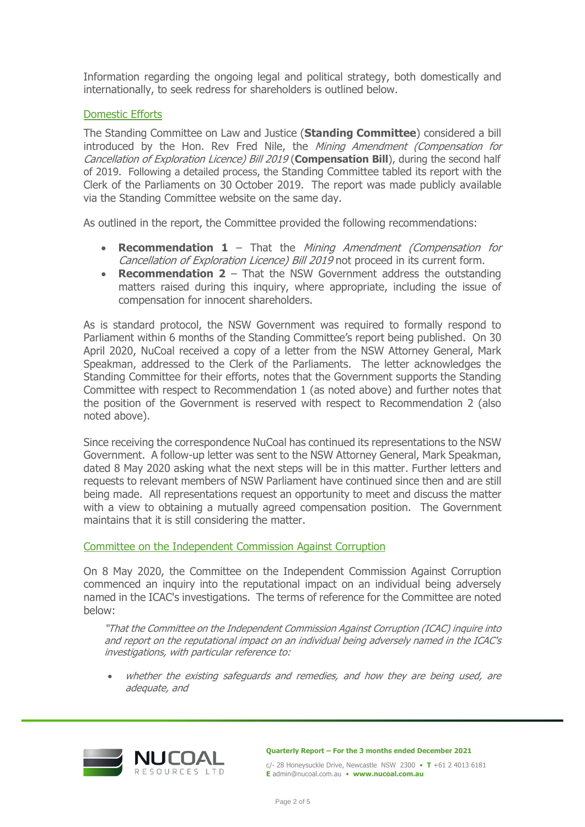Information regarding the ongoing legal and political strategy, both domestically and internationally, to seek redress for shareholders is outlined below.

## Domestic Efforts

The Standing Committee on Law and Justice (**Standing Committee**) considered a bill introduced by the Hon. Rey Fred Nile, the *Mining Amendment (Compensation for* Cancellation of Exploration Licence) Bill 2019 (**Compensation Bill**), during the second half of 2019. Following a detailed process, the Standing Committee tabled its report with the Clerk of the Parliaments on 30 October 2019. The report was made publicly available via the Standing Committee website on the same day.

As outlined in the report, the Committee provided the following recommendations:

- **Recommendation 1** That the Mining Amendment (Compensation for Cancellation of Exploration Licence) Bill 2019 not proceed in its current form.
- **Recommendation 2** That the NSW Government address the outstanding matters raised during this inquiry, where appropriate, including the issue of compensation for innocent shareholders.

As is standard protocol, the NSW Government was required to formally respond to Parliament within 6 months of the Standing Committee's report being published. On 30 April 2020, NuCoal received a copy of a letter from the NSW Attorney General, Mark Speakman, addressed to the Clerk of the Parliaments. The letter acknowledges the Standing Committee for their efforts, notes that the Government supports the Standing Committee with respect to Recommendation 1 (as noted above) and further notes that the position of the Government is reserved with respect to Recommendation 2 (also noted above).

Since receiving the correspondence NuCoal has continued its representations to the NSW Government. A follow-up letter was sent to the NSW Attorney General, Mark Speakman, dated 8 May 2020 asking what the next steps will be in this matter. Further letters and requests to relevant members of NSW Parliament have continued since then and are still being made. All representations request an opportunity to meet and discuss the matter with a view to obtaining a mutually agreed compensation position. The Government maintains that it is still considering the matter.

### Committee on the Independent Commission Against Corruption

On 8 May 2020, the Committee on the Independent Commission Against Corruption commenced an inquiry into the reputational impact on an individual being adversely named in the ICAC's investigations. The terms of reference for the Committee are noted below:

"That the Committee on the Independent Commission Against Corruption (ICAC) inquire into and report on the reputational impact on an individual being adversely named in the ICAC's investigations, with particular reference to:

• whether the existing safeguards and remedies, and how they are being used, are adequate, and



**Quarterly Report – For the 3 months ended December 2021**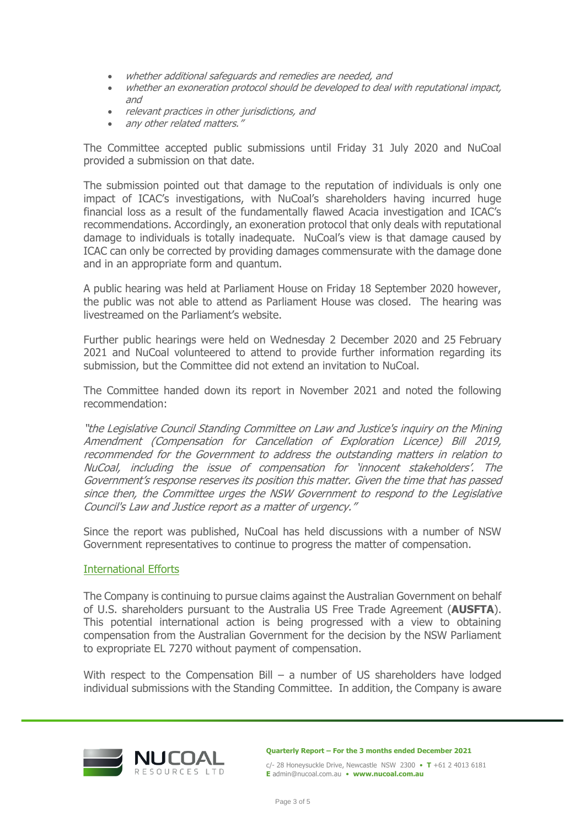- whether additional safeguards and remedies are needed, and
- whether an exoneration protocol should be developed to deal with reputational impact, and
- relevant practices in other jurisdictions, and
- any other related matters."

The Committee accepted public submissions until Friday 31 July 2020 and NuCoal provided a submission on that date.

The submission pointed out that damage to the reputation of individuals is only one impact of ICAC's investigations, with NuCoal's shareholders having incurred huge financial loss as a result of the fundamentally flawed Acacia investigation and ICAC's recommendations. Accordingly, an exoneration protocol that only deals with reputational damage to individuals is totally inadequate. NuCoal's view is that damage caused by ICAC can only be corrected by providing damages commensurate with the damage done and in an appropriate form and quantum.

A public hearing was held at Parliament House on Friday 18 September 2020 however, the public was not able to attend as Parliament House was closed. The hearing was livestreamed on the Parliament's website.

Further public hearings were held on Wednesday 2 December 2020 and 25 February 2021 and NuCoal volunteered to attend to provide further information regarding its submission, but the Committee did not extend an invitation to NuCoal.

The Committee handed down its report in November 2021 and noted the following recommendation:

"the Legislative Council Standing Committee on Law and Justice's inquiry on the Mining Amendment (Compensation for Cancellation of Exploration Licence) Bill 2019, recommended for the Government to address the outstanding matters in relation to NuCoal, including the issue of compensation for 'innocent stakeholders'. The Government's response reserves its position this matter. Given the time that has passed since then, the Committee urges the NSW Government to respond to the Legislative Council's Law and Justice report as a matter of urgency."

Since the report was published, NuCoal has held discussions with a number of NSW Government representatives to continue to progress the matter of compensation.

### International Efforts

The Company is continuing to pursue claims against the Australian Government on behalf of U.S. shareholders pursuant to the Australia US Free Trade Agreement (**AUSFTA**). This potential international action is being progressed with a view to obtaining compensation from the Australian Government for the decision by the NSW Parliament to expropriate EL 7270 without payment of compensation.

With respect to the Compensation Bill – a number of US shareholders have lodged individual submissions with the Standing Committee. In addition, the Company is aware



**Quarterly Report – For the 3 months ended December 2021**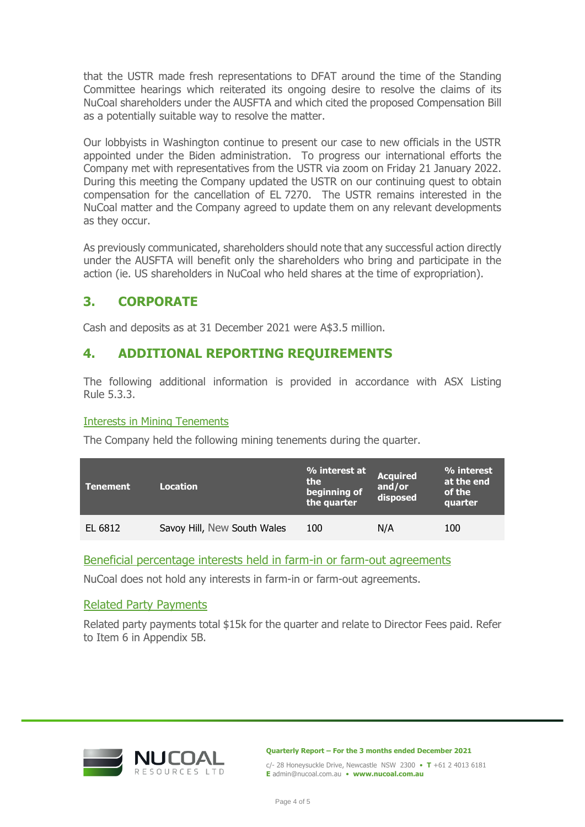that the USTR made fresh representations to DFAT around the time of the Standing Committee hearings which reiterated its ongoing desire to resolve the claims of its NuCoal shareholders under the AUSFTA and which cited the proposed Compensation Bill as a potentially suitable way to resolve the matter.

Our lobbyists in Washington continue to present our case to new officials in the USTR appointed under the Biden administration. To progress our international efforts the Company met with representatives from the USTR via zoom on Friday 21 January 2022. During this meeting the Company updated the USTR on our continuing quest to obtain compensation for the cancellation of EL 7270. The USTR remains interested in the NuCoal matter and the Company agreed to update them on any relevant developments as they occur.

As previously communicated, shareholders should note that any successful action directly under the AUSFTA will benefit only the shareholders who bring and participate in the action (ie. US shareholders in NuCoal who held shares at the time of expropriation).

# **3. CORPORATE**

Cash and deposits as at 31 December 2021 were A\$3.5 million.

# **4. ADDITIONAL REPORTING REQUIREMENTS**

The following additional information is provided in accordance with ASX Listing Rule 5.3.3.

# Interests in Mining Tenements

The Company held the following mining tenements during the quarter.

| Tenement | <b>Location</b>             | % interest at<br>the.<br>beginning of<br>the quarter | <b>Acquired</b><br>and/or<br>disposed | % interest<br>at the end<br>of the<br>quarter |
|----------|-----------------------------|------------------------------------------------------|---------------------------------------|-----------------------------------------------|
| EL 6812  | Savoy Hill, New South Wales | 100                                                  | N/A                                   | 100                                           |

# Beneficial percentage interests held in farm-in or farm-out agreements

NuCoal does not hold any interests in farm-in or farm-out agreements.

# Related Party Payments

Related party payments total \$15k for the quarter and relate to Director Fees paid. Refer to Item 6 in Appendix 5B.



**Quarterly Report – For the 3 months ended December 2021**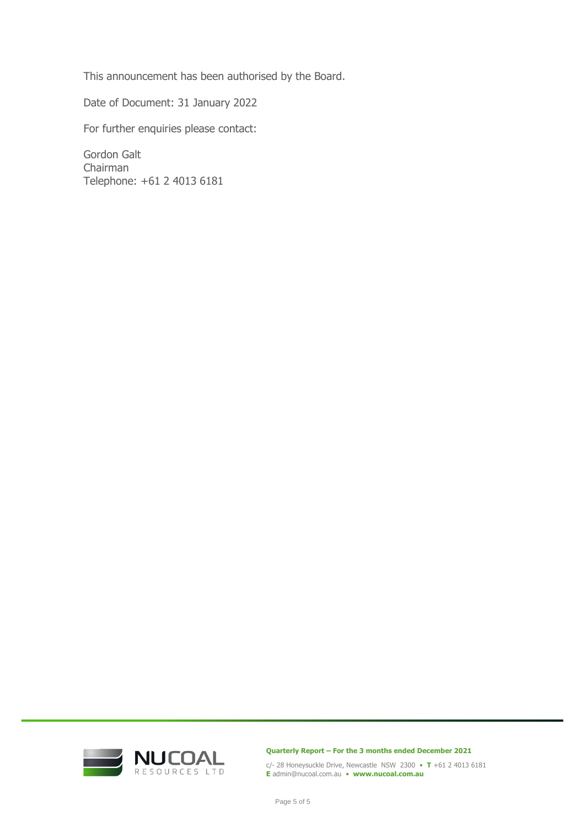This announcement has been authorised by the Board.

Date of Document: 31 January 2022

For further enquiries please contact:

Gordon Galt Chairman Telephone: +61 2 4013 6181



**Quarterly Report – For the 3 months ended December 2021**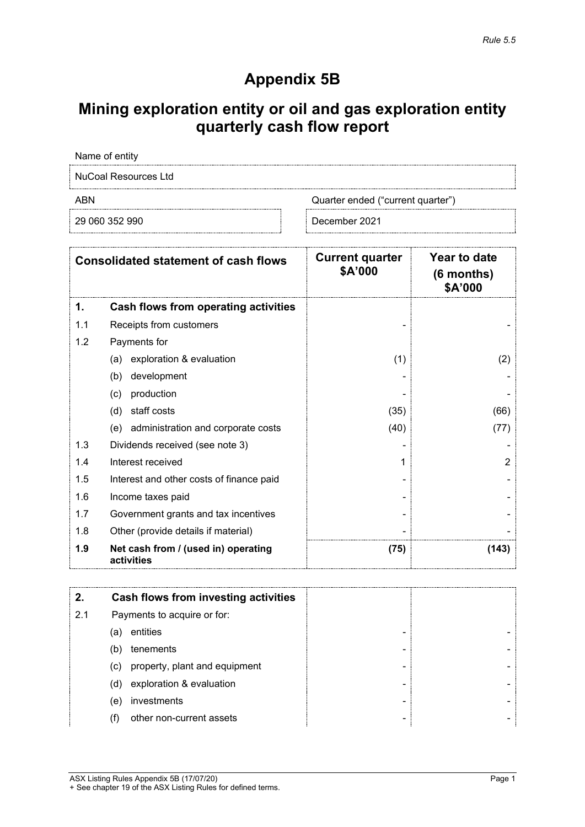# **Appendix 5B**

# **Mining exploration entity or oil and gas exploration entity quarterly cash flow report**

Name of entity

NuCoal Resources Ltd

ABN Cuarter ended ("current quarter")

29 060 352 990 December 2021

|     | <b>Consolidated statement of cash flows</b>       | <b>Current quarter</b><br>\$A'000 | Year to date<br>$(6$ months)<br>\$A'000 |
|-----|---------------------------------------------------|-----------------------------------|-----------------------------------------|
| 1.  | Cash flows from operating activities              |                                   |                                         |
| 1.1 | Receipts from customers                           |                                   |                                         |
| 1.2 | Payments for                                      |                                   |                                         |
|     | exploration & evaluation<br>(a)                   | (1)                               | (2)                                     |
|     | development<br>(b)                                |                                   |                                         |
|     | production<br>(c)                                 |                                   |                                         |
|     | staff costs<br>(d)                                | (35)                              | (66)                                    |
|     | administration and corporate costs<br>(e)         | (40)                              | (77)                                    |
| 1.3 | Dividends received (see note 3)                   |                                   |                                         |
| 1.4 | Interest received                                 |                                   | $\overline{2}$                          |
| 1.5 | Interest and other costs of finance paid          |                                   |                                         |
| 1.6 | Income taxes paid                                 |                                   |                                         |
| 1.7 | Government grants and tax incentives              |                                   |                                         |
| 1.8 | Other (provide details if material)               |                                   |                                         |
| 1.9 | Net cash from / (used in) operating<br>activities | (75)                              | (143)                                   |

|     | Cash flows from investing activities |   |  |
|-----|--------------------------------------|---|--|
| 2.1 | Payments to acquire or for:          |   |  |
|     | entities<br>(a)                      | - |  |
|     | tenements<br>(b)                     | - |  |
|     | property, plant and equipment<br>(c) | - |  |
|     | exploration & evaluation<br>(d)      | - |  |
|     | investments<br>(e)                   | - |  |
|     | other non-current assets             | - |  |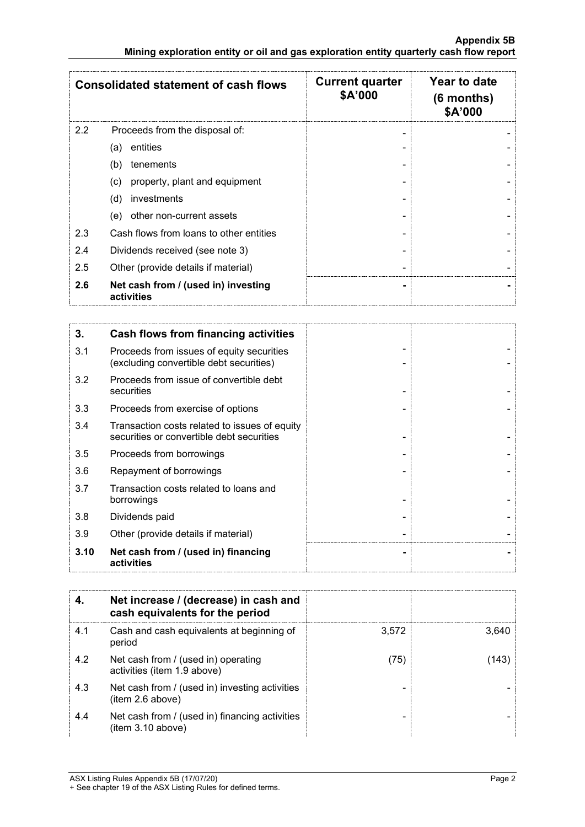| <b>Consolidated statement of cash flows</b> |                                                   | <b>Current quarter</b><br>\$A'000 | Year to date<br>(6 months)<br>\$A'000 |
|---------------------------------------------|---------------------------------------------------|-----------------------------------|---------------------------------------|
| 2.2                                         | Proceeds from the disposal of:                    | ۰                                 |                                       |
|                                             | entities<br>(a)                                   |                                   |                                       |
|                                             | (b)<br>tenements                                  |                                   |                                       |
|                                             | property, plant and equipment<br>(c)              |                                   |                                       |
|                                             | investments<br>(d)                                |                                   |                                       |
|                                             | other non-current assets<br>(e)                   |                                   |                                       |
| 2.3                                         | Cash flows from loans to other entities           |                                   |                                       |
| 2.4                                         | Dividends received (see note 3)                   |                                   |                                       |
| 2.5                                         | Other (provide details if material)               |                                   |                                       |
| 2.6                                         | Net cash from / (used in) investing<br>activities |                                   |                                       |

| 3.   | Cash flows from financing activities                                                       |  |
|------|--------------------------------------------------------------------------------------------|--|
| 3.1  | Proceeds from issues of equity securities<br>(excluding convertible debt securities)       |  |
| 3.2  | Proceeds from issue of convertible debt<br>securities                                      |  |
| 3.3  | Proceeds from exercise of options                                                          |  |
| 3.4  | Transaction costs related to issues of equity<br>securities or convertible debt securities |  |
| 3.5  | Proceeds from borrowings                                                                   |  |
| 3.6  | Repayment of borrowings                                                                    |  |
| 3.7  | Transaction costs related to loans and<br>borrowings                                       |  |
| 3.8  | Dividends paid                                                                             |  |
| 3.9  | Other (provide details if material)                                                        |  |
| 3.10 | Net cash from / (used in) financing<br>activities                                          |  |

|     | Net increase / (decrease) in cash and<br>cash equivalents for the period |       |       |
|-----|--------------------------------------------------------------------------|-------|-------|
| 4.1 | Cash and cash equivalents at beginning of<br>period                      | 3.572 | 3.640 |
| 4.2 | Net cash from / (used in) operating<br>activities (item 1.9 above)       | [75]  |       |
| 4.3 | Net cash from / (used in) investing activities<br>(item 2.6 above)       |       |       |
| 4.4 | Net cash from / (used in) financing activities<br>(item 3.10 above)      |       |       |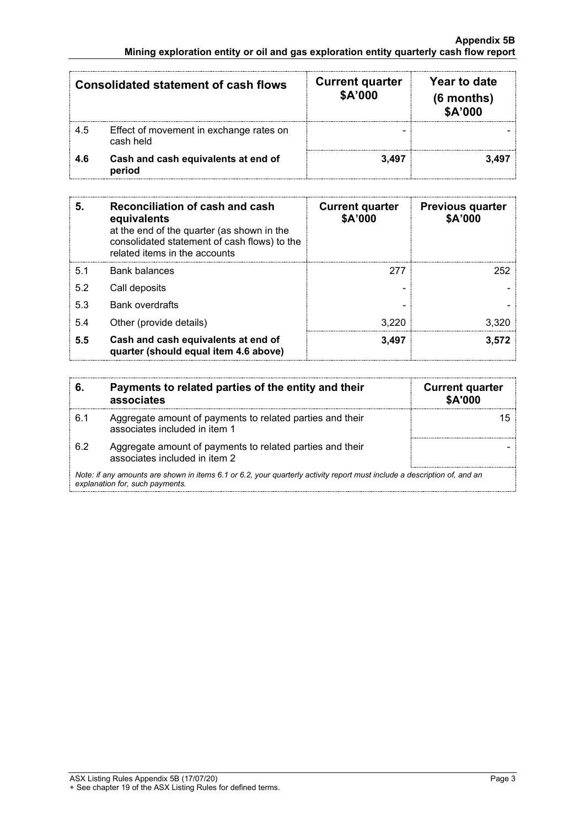| <b>Consolidated statement of cash flows</b> |                                                      | <b>Current quarter</b><br>\$A'000 | Year to date<br>$(6$ months)<br>\$A'000 |
|---------------------------------------------|------------------------------------------------------|-----------------------------------|-----------------------------------------|
| 4.5                                         | Effect of movement in exchange rates on<br>cash held |                                   |                                         |
| 4.6                                         | Cash and cash equivalents at end of<br>period        | 3.497                             |                                         |

| 5.  | Reconciliation of cash and cash<br>equivalents<br>at the end of the quarter (as shown in the<br>consolidated statement of cash flows) to the<br>related items in the accounts | <b>Current quarter</b><br>\$A'000 | <b>Previous quarter</b><br>\$A'000 |
|-----|-------------------------------------------------------------------------------------------------------------------------------------------------------------------------------|-----------------------------------|------------------------------------|
| 5.1 | Bank balances                                                                                                                                                                 | 277                               | 252                                |
| 5.2 | Call deposits                                                                                                                                                                 |                                   |                                    |
| 5.3 | <b>Bank overdrafts</b>                                                                                                                                                        |                                   |                                    |
| 5.4 | Other (provide details)                                                                                                                                                       | 3.220                             | 3.320                              |
| 5.5 | Cash and cash equivalents at end of<br>quarter (should equal item 4.6 above)                                                                                                  | 3,497                             | 3.572                              |

| 6.                                                                                                                                                          | Payments to related parties of the entity and their<br>associates                          | <b>Current quarter</b><br>\$A'000 |
|-------------------------------------------------------------------------------------------------------------------------------------------------------------|--------------------------------------------------------------------------------------------|-----------------------------------|
| 6.1                                                                                                                                                         | Aggregate amount of payments to related parties and their<br>associates included in item 1 |                                   |
| 6.2                                                                                                                                                         | Aggregate amount of payments to related parties and their<br>associates included in item 2 |                                   |
| Note: if any amounts are shown in items 6.1 or 6.2, your quarterly activity report must include a description of, and an<br>explanation for, such payments. |                                                                                            |                                   |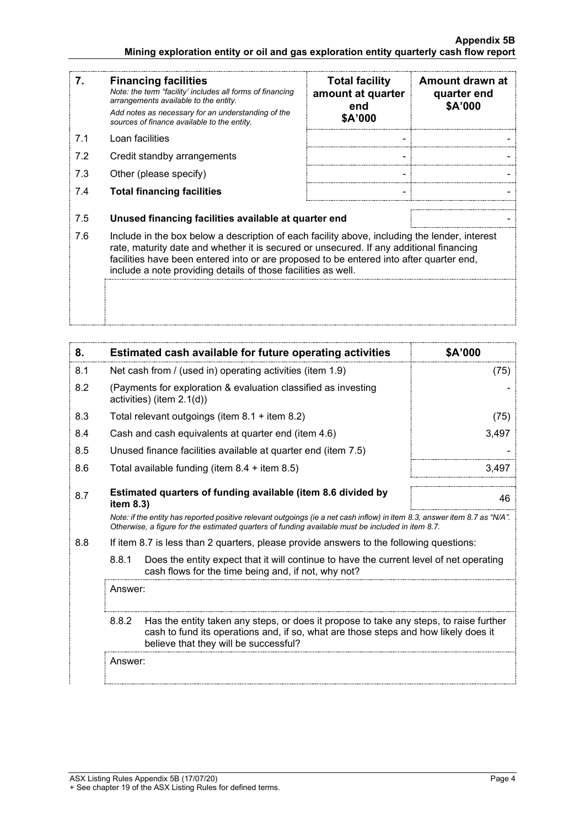#### **Appendix 5B Mining exploration entity or oil and gas exploration entity quarterly cash flow report**

| 7.  | <b>Financing facilities</b><br>Note: the term "facility' includes all forms of financing<br>arrangements available to the entity.<br>Add notes as necessary for an understanding of the<br>sources of finance available to the entity.                                                                                                               | <b>Total facility</b><br>amount at quarter<br>end<br>\$A'000 | Amount drawn at<br>quarter end<br>\$A'000 |
|-----|------------------------------------------------------------------------------------------------------------------------------------------------------------------------------------------------------------------------------------------------------------------------------------------------------------------------------------------------------|--------------------------------------------------------------|-------------------------------------------|
| 7.1 | Loan facilities                                                                                                                                                                                                                                                                                                                                      |                                                              |                                           |
| 7.2 | Credit standby arrangements                                                                                                                                                                                                                                                                                                                          |                                                              |                                           |
| 7.3 | Other (please specify)                                                                                                                                                                                                                                                                                                                               |                                                              |                                           |
| 7.4 | <b>Total financing facilities</b>                                                                                                                                                                                                                                                                                                                    |                                                              |                                           |
| 7.5 | Unused financing facilities available at quarter end                                                                                                                                                                                                                                                                                                 |                                                              |                                           |
| 7.6 | Include in the box below a description of each facility above, including the lender, interest<br>rate, maturity date and whether it is secured or unsecured. If any additional financing<br>facilities have been entered into or are proposed to be entered into after quarter end,<br>include a note providing details of those facilities as well. |                                                              |                                           |
|     |                                                                                                                                                                                                                                                                                                                                                      |                                                              |                                           |

| 8.  |                                                                                                                                                                                                                                 | <b>Estimated cash available for future operating activities</b>                                                                                                                                                                 | \$A'000 |
|-----|---------------------------------------------------------------------------------------------------------------------------------------------------------------------------------------------------------------------------------|---------------------------------------------------------------------------------------------------------------------------------------------------------------------------------------------------------------------------------|---------|
| 8.1 |                                                                                                                                                                                                                                 | Net cash from / (used in) operating activities (item 1.9)                                                                                                                                                                       | (75)    |
| 8.2 | (Payments for exploration & evaluation classified as investing<br>activities) (item 2.1(d))                                                                                                                                     |                                                                                                                                                                                                                                 |         |
| 8.3 |                                                                                                                                                                                                                                 | Total relevant outgoings (item 8.1 + item 8.2)                                                                                                                                                                                  | (75)    |
| 8.4 |                                                                                                                                                                                                                                 | Cash and cash equivalents at quarter end (item 4.6)                                                                                                                                                                             | 3,497   |
| 8.5 |                                                                                                                                                                                                                                 | Unused finance facilities available at quarter end (item 7.5)                                                                                                                                                                   |         |
| 8.6 |                                                                                                                                                                                                                                 | Total available funding (item $8.4 +$ item $8.5$ )                                                                                                                                                                              | 3,497   |
| 8.7 | Estimated quarters of funding available (item 8.6 divided by<br>item 8.3)                                                                                                                                                       |                                                                                                                                                                                                                                 | 46      |
|     |                                                                                                                                                                                                                                 | Note: if the entity has reported positive relevant outgoings (ie a net cash inflow) in item 8.3, answer item 8.7 as "N/A".<br>Otherwise, a figure for the estimated quarters of funding available must be included in item 8.7. |         |
| 8.8 |                                                                                                                                                                                                                                 | If item 8.7 is less than 2 quarters, please provide answers to the following questions:                                                                                                                                         |         |
|     | 8.8.1                                                                                                                                                                                                                           | Does the entity expect that it will continue to have the current level of net operating<br>cash flows for the time being and, if not, why not?                                                                                  |         |
|     | Answer:                                                                                                                                                                                                                         |                                                                                                                                                                                                                                 |         |
|     | 8.8.2<br>Has the entity taken any steps, or does it propose to take any steps, to raise further<br>cash to fund its operations and, if so, what are those steps and how likely does it<br>believe that they will be successful? |                                                                                                                                                                                                                                 |         |
|     | Answer:                                                                                                                                                                                                                         |                                                                                                                                                                                                                                 |         |